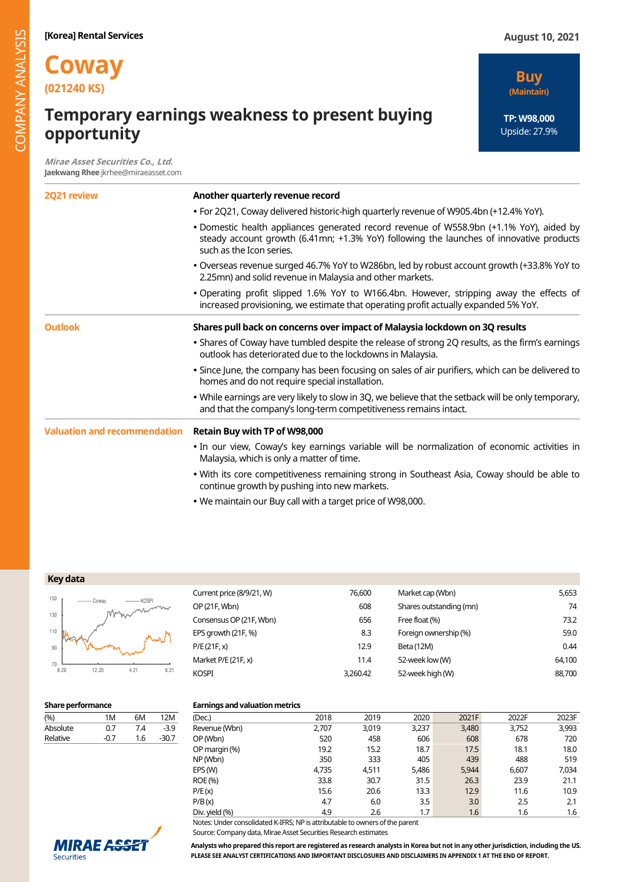# **Temporary earnings weakness to present buying opportunity**

**Mirae Asset Securities Co., Ltd. Jaekwang Rhee** jkrhee@miraeasset.com

**Buy (Maintain)**

**TP: W98,000**  Upside: 27.9%

| 2Q21 review                         | Another quarterly revenue record                                                                                                                                                                               |  |  |  |  |  |  |  |
|-------------------------------------|----------------------------------------------------------------------------------------------------------------------------------------------------------------------------------------------------------------|--|--|--|--|--|--|--|
|                                     | • For 2Q21, Coway delivered historic-high quarterly revenue of W905.4bn (+12.4% YoY).                                                                                                                          |  |  |  |  |  |  |  |
|                                     | • Domestic health appliances generated record revenue of W558.9bn (+1.1% YoY), aided by<br>steady account growth (6.41mn; +1.3% YoY) following the launches of innovative products<br>such as the Icon series. |  |  |  |  |  |  |  |
|                                     | . Overseas revenue surged 46.7% YoY to W286bn, led by robust account growth (+33.8% YoY to<br>2.25mn) and solid revenue in Malaysia and other markets.                                                         |  |  |  |  |  |  |  |
|                                     | • Operating profit slipped 1.6% YoY to W166.4bn. However, stripping away the effects of<br>increased provisioning, we estimate that operating profit actually expanded 5% YoY.                                 |  |  |  |  |  |  |  |
| <b>Outlook</b>                      | Shares pull back on concerns over impact of Malaysia lockdown on 3Q results                                                                                                                                    |  |  |  |  |  |  |  |
|                                     | • Shares of Coway have tumbled despite the release of strong 2Q results, as the firm's earnings<br>outlook has deteriorated due to the lockdowns in Malaysia.                                                  |  |  |  |  |  |  |  |
|                                     | . Since June, the company has been focusing on sales of air purifiers, which can be delivered to<br>homes and do not require special installation.                                                             |  |  |  |  |  |  |  |
|                                     | . While earnings are very likely to slow in 3Q, we believe that the setback will be only temporary,<br>and that the company's long-term competitiveness remains intact.                                        |  |  |  |  |  |  |  |
| <b>Valuation and recommendation</b> | Retain Buy with TP of W98,000                                                                                                                                                                                  |  |  |  |  |  |  |  |
|                                     | • In our view, Coway's key earnings variable will be normalization of economic activities in<br>Malaysia, which is only a matter of time.                                                                      |  |  |  |  |  |  |  |
|                                     | . With its core competitiveness remaining strong in Southeast Asia, Coway should be able to<br>continue growth by pushing into new markets.                                                                    |  |  |  |  |  |  |  |
|                                     | . We maintain our Buy call with a target price of W98,000.                                                                                                                                                     |  |  |  |  |  |  |  |

| Key data |  |
|----------|--|
|----------|--|



| Current price (8/9/21, W) | 76.600   | Market cap (Wbn)        | 5,653  |
|---------------------------|----------|-------------------------|--------|
| OP (21F, Wbn)             | 608      | Shares outstanding (mn) | 74     |
| Consensus OP (21F, Wbn)   | 656      | Free float (%)          | 73.2   |
| EPS growth (21F, %)       | 8.3      | Foreign ownership (%)   | 59.0   |
| P/E (21F, x)              | 12.9     | Beta (12M)              | 0.44   |
| Market P/E (21F, x)       | 11.4     | 52-week low (W)         | 64.100 |
| Kospi                     | 3,260.42 | 52-week high (W)        | 88,700 |
|                           |          |                         |        |

| (%)      | 1M     | 6M  | 12M     |
|----------|--------|-----|---------|
| Absolute | 0.7    | 7.4 | $-3.9$  |
| Relative | $-0.7$ | 1.6 | $-30.7$ |
|          |        |     |         |

## **Share performance Earnings and valuation metrics**

| (Dec.)         | 2018  | 2019  | 2020  | 2021F | 2022F | 2023F |
|----------------|-------|-------|-------|-------|-------|-------|
| Revenue (Wbn)  | 2.707 | 3,019 | 3,237 | 3,480 | 3,752 | 3,993 |
| OP (Wbn)       | 520   | 458   | 606   | 608   | 678   | 720   |
| OP margin (%)  | 19.2  | 15.2  | 18.7  | 17.5  | 18.1  | 18.0  |
| NP (Wbn)       | 350   | 333   | 405   | 439   | 488   | 519   |
| EPS (W)        | 4,735 | 4.511 | 5,486 | 5,944 | 6.607 | 7.034 |
| ROE (%)        | 33.8  | 30.7  | 31.5  | 26.3  | 23.9  | 21.1  |
| P/E(x)         | 15.6  | 20.6  | 13.3  | 12.9  | 11.6  | 10.9  |
| P/B(x)         | 4.7   | 6.0   | 3.5   | 3.0   | 2.5   | 2.1   |
| Div. yield (%) | 4.9   | 2.6   | 1.7   | 1.6   | 1.6   | 1.6   |
|                |       |       |       |       |       |       |

Notes: Under consolidated K-IFRS; NP is attributable to owners of the parent Source: Company data, Mirae Asset Securities Research estimates



**Analysts who prepared this report are registered as research analysts in Korea but not in any other jurisdiction, including the US. PLEASE SEE ANALYST CERTIFICATIONS AND IMPORTANT DISCLOSURES AND DISCLAIMERS IN APPENDIX 1 AT THE END OF REPORT.**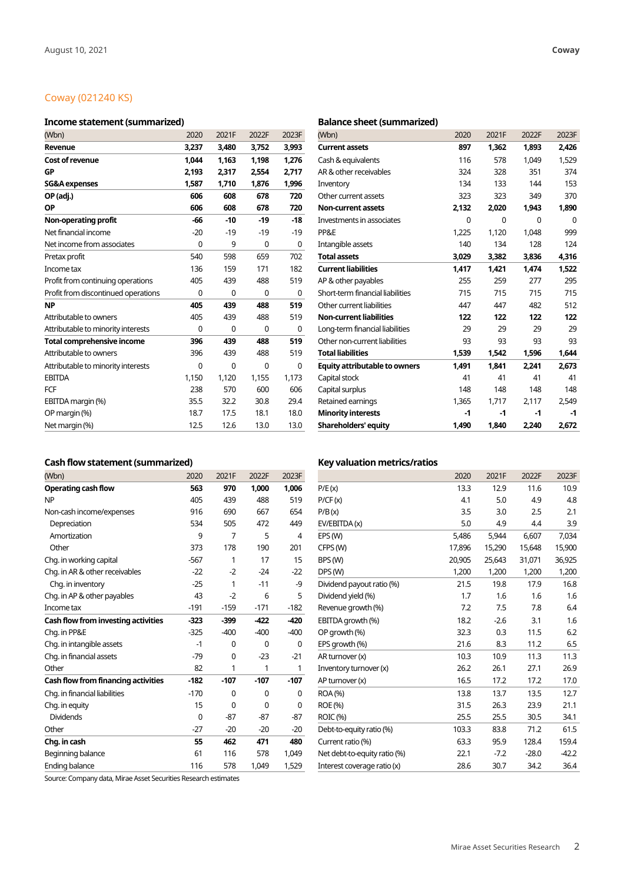# Coway (021240 KS)

## **Income statement (summarized) Balance sheet (summarized)**

| (Wbn)                               | 2020  | 2021F       | 2022F       | 2023F | (Wbn)                                | 2020  | 2021F       | 2022F    | 2023F |
|-------------------------------------|-------|-------------|-------------|-------|--------------------------------------|-------|-------------|----------|-------|
| Revenue                             | 3,237 | 3,480       | 3,752       | 3,993 | <b>Current assets</b>                | 897   | 1,362       | 1,893    | 2,426 |
| <b>Cost of revenue</b>              | 1,044 | 1.163       | 1,198       | 1,276 | Cash & equivalents                   | 116   | 578         | 1.049    | 1,529 |
| GP                                  | 2,193 | 2,317       | 2,554       | 2,717 | AR & other receivables               | 324   | 328         | 351      | 374   |
| <b>SG&amp;A</b> expenses            | 1,587 | 1,710       | 1,876       | 1,996 | Inventory                            | 134   | 133         | 144      | 153   |
| OP (adj.)                           | 606   | 608         | 678         | 720   | Other current assets                 | 323   | 323         | 349      | 370   |
| <b>OP</b>                           | 606   | 608         | 678         | 720   | <b>Non-current assets</b>            | 2,132 | 2,020       | 1,943    | 1,890 |
| Non-operating profit                | $-66$ | $-10$       | $-19$       | $-18$ | Investments in associates            | 0     | $\mathbf 0$ | $\Omega$ | 0     |
| Net financial income                | $-20$ | $-19$       | $-19$       | $-19$ | PP&E                                 | 1,225 | 1.120       | 1,048    | 999   |
| Net income from associates          | 0     | 9           | $\mathbf 0$ | 0     | Intangible assets                    | 140   | 134         | 128      | 124   |
| Pretax profit                       | 540   | 598         | 659         | 702   | <b>Total assets</b>                  | 3,029 | 3,382       | 3,836    | 4,316 |
| Income tax                          | 136   | 159         | 171         | 182   | <b>Current liabilities</b>           | 1,417 | 1,421       | 1,474    | 1,522 |
| Profit from continuing operations   | 405   | 439         | 488         | 519   | AP & other payables                  | 255   | 259         | 277      | 295   |
| Profit from discontinued operations | 0     | 0           | 0           | 0     | Short-term financial liabilities     | 715   | 715         | 715      | 715   |
| <b>NP</b>                           | 405   | 439         | 488         | 519   | Other current liabilities            | 447   | 447         | 482      | 512   |
| Attributable to owners              | 405   | 439         | 488         | 519   | <b>Non-current liabilities</b>       | 122   | 122         | 122      | 122   |
| Attributable to minority interests  | 0     | 0           | 0           | 0     | Long-term financial liabilities      | 29    | 29          | 29       | 29    |
| <b>Total comprehensive income</b>   | 396   | 439         | 488         | 519   | Other non-current liabilities        | 93    | 93          | 93       | 93    |
| Attributable to owners              | 396   | 439         | 488         | 519   | <b>Total liabilities</b>             | 1,539 | 1,542       | 1,596    | 1,644 |
| Attributable to minority interests  | 0     | $\mathbf 0$ | $\mathbf 0$ | 0     | <b>Equity attributable to owners</b> | 1,491 | 1,841       | 2,241    | 2,673 |
| <b>EBITDA</b>                       | 1,150 | 1,120       | 1,155       | 1,173 | Capital stock                        | 41    | 41          | 41       | 41    |
| <b>FCF</b>                          | 238   | 570         | 600         | 606   | Capital surplus                      | 148   | 148         | 148      | 148   |
| EBITDA margin (%)                   | 35.5  | 32.2        | 30.8        | 29.4  | Retained earnings                    | 1,365 | 1,717       | 2,117    | 2,549 |
| OP margin (%)                       | 18.7  | 17.5        | 18.1        | 18.0  | <b>Minority interests</b>            | $-1$  | $-1$        | $-1$     | -1    |
| Net margin (%)                      | 12.5  | 12.6        | 13.0        | 13.0  | <b>Shareholders' equity</b>          | 1,490 | 1,840       | 2.240    | 2,672 |

| (Wbn)                                | 2020  | 2021F | 2022F | 2023F |
|--------------------------------------|-------|-------|-------|-------|
| <b>Current assets</b>                | 897   | 1,362 | 1,893 | 2,426 |
| Cash & equivalents                   | 116   | 578   | 1.049 | 1,529 |
| AR & other receivables               | 324   | 328   | 351   | 374   |
| Inventory                            | 134   | 133   | 144   | 153   |
| Other current assets                 | 323   | 323   | 349   | 370   |
| <b>Non-current assets</b>            | 2,132 | 2,020 | 1,943 | 1,890 |
| Investments in associates            | 0     | 0     | 0     | 0     |
| PP&E                                 | 1.225 | 1,120 | 1,048 | 999   |
| Intangible assets                    | 140   | 134   | 128   | 124   |
| <b>Total assets</b>                  | 3,029 | 3,382 | 3,836 | 4,316 |
| <b>Current liabilities</b>           | 1.417 | 1.421 | 1.474 | 1,522 |
| AP & other payables                  | 255   | 259   | 277   | 295   |
| Short-term financial liabilities     | 715   | 715   | 715   | 715   |
| Other current liabilities            | 447   | 447   | 482   | 512   |
| <b>Non-current liabilities</b>       | 122   | 122   | 122   | 122   |
| Long-term financial liabilities      | 29    | 29    | 29    | 29    |
| Other non-current liabilities        | 93    | 93    | 93    | 93    |
| <b>Total liabilities</b>             | 1,539 | 1,542 | 1,596 | 1,644 |
| <b>Equity attributable to owners</b> | 1,491 | 1.841 | 2.241 | 2.673 |
| Capital stock                        | 41    | 41    | 41    | 41    |
| Capital surplus                      | 148   | 148   | 148   | 148   |
| Retained earnings                    | 1,365 | 1,717 | 2,117 | 2,549 |
| <b>Minority interests</b>            | $-1$  | $-1$  | $-1$  | $-1$  |
| <b>Shareholders' equity</b>          | 1,490 | 1,840 | 2,240 | 2,672 |

## Cash flow statement (summarized) **Key valuation metrics/ratios Cash** flow statement (summarized)

| (Wbn)                               | 2020   | 2021F  | 2022F  | 2023F  |                              | 2020   | 2021F  | 2022F   | 2023F   |
|-------------------------------------|--------|--------|--------|--------|------------------------------|--------|--------|---------|---------|
| <b>Operating cash flow</b>          | 563    | 970    | 1,000  | 1,006  | P/E(x)                       | 13.3   | 12.9   | 11.6    | 10.9    |
| <b>NP</b>                           | 405    | 439    | 488    | 519    | P/CF(x)                      | 4.1    | 5.0    | 4.9     | 4.8     |
| Non-cash income/expenses            | 916    | 690    | 667    | 654    | P/B(x)                       | 3.5    | 3.0    | 2.5     | 2.1     |
| Depreciation                        | 534    | 505    | 472    | 449    | EV/EBITDA (x)                | 5.0    | 4.9    | 4.4     | 3.9     |
| Amortization                        | 9      | 7      | 5      | 4      | EPS (W)                      | 5,486  | 5,944  | 6,607   | 7,034   |
| Other                               | 373    | 178    | 190    | 201    | CFPS (W)                     | 17,896 | 15,290 | 15,648  | 15,900  |
| Chg. in working capital             | $-567$ | 1      | 17     | 15     | BPS (W)                      | 20,905 | 25,643 | 31,071  | 36,925  |
| Chg. in AR & other receivables      | $-22$  | $-2$   | $-24$  | $-22$  | DPS(W)                       | 1,200  | 1,200  | 1,200   | 1,200   |
| Chg. in inventory                   | $-25$  | 1      | $-11$  | -9     | Dividend payout ratio (%)    | 21.5   | 19.8   | 17.9    | 16.8    |
| Chg. in AP & other payables         | 43     | $-2$   | 6      | 5      | Dividend yield (%)           | 1.7    | 1.6    | 1.6     | 1.6     |
| Income tax                          | $-191$ | $-159$ | $-171$ | $-182$ | Revenue growth (%)           | 7.2    | 7.5    | 7.8     | 6.4     |
| Cash flow from investing activities | $-323$ | $-399$ | $-422$ | $-420$ | EBITDA growth (%)            | 18.2   | $-2.6$ | 3.1     | 1.6     |
| Chg. in PP&E                        | $-325$ | $-400$ | $-400$ | $-400$ | OP growth (%)                | 32.3   | 0.3    | 11.5    | 6.2     |
| Chg. in intangible assets           | -1     | 0      | 0      | 0      | EPS growth (%)               | 21.6   | 8.3    | 11.2    | 6.5     |
| Chq. in financial assets            | $-79$  | 0      | $-23$  | $-21$  | AR turnover (x)              | 10.3   | 10.9   | 11.3    | 11.3    |
| Other                               | 82     | 1      | 1      | 1      | Inventory turnover (x)       | 26.2   | 26.1   | 27.1    | 26.9    |
| Cash flow from financing activities | $-182$ | $-107$ | $-107$ | $-107$ | AP turnover (x)              | 16.5   | 17.2   | 17.2    | 17.0    |
| Chg. in financial liabilities       | $-170$ | 0      | 0      | 0      | ROA (%)                      | 13.8   | 13.7   | 13.5    | 12.7    |
| Chg. in equity                      | 15     | 0      | 0      | 0      | ROE (%)                      | 31.5   | 26.3   | 23.9    | 21.1    |
| <b>Dividends</b>                    | 0      | $-87$  | $-87$  | $-87$  | <b>ROIC (%)</b>              | 25.5   | 25.5   | 30.5    | 34.1    |
| Other                               | $-27$  | $-20$  | $-20$  | $-20$  | Debt-to-equity ratio (%)     | 103.3  | 83.8   | 71.2    | 61.5    |
| Chg. in cash                        | 55     | 462    | 471    | 480    | Current ratio (%)            | 63.3   | 95.9   | 128.4   | 159.4   |
| Beginning balance                   | 61     | 116    | 578    | 1,049  | Net debt-to-equity ratio (%) | 22.1   | $-7.2$ | $-28.0$ | $-42.2$ |
| Ending balance                      | 116    | 578    | 1,049  | 1,529  | Interest coverage ratio (x)  | 28.6   | 30.7   | 34.2    | 36.4    |

Source: Company data, Mirae Asset Securities Research estimates

| Vbn)                               | 2020   | 2021F       | 2022F  | 2023F       |                              | 2020   | 2021F  | 2022F   | 2023F   |
|------------------------------------|--------|-------------|--------|-------------|------------------------------|--------|--------|---------|---------|
| perating cash flow                 | 563    | 970         | 1,000  | 1,006       | P/E(x)                       | 13.3   | 12.9   | 11.6    | 10.9    |
|                                    | 405    | 439         | 488    | 519         | P/CF(x)                      | 4.1    | 5.0    | 4.9     | 4.8     |
| on-cash income/expenses            | 916    | 690         | 667    | 654         | P/B(x)                       | 3.5    | 3.0    | 2.5     | 2.1     |
| Depreciation                       | 534    | 505         | 472    | 449         | EV/EBITDA(x)                 | 5.0    | 4.9    | 4.4     | 3.9     |
| Amortization                       | 9      | 7           | 5      | 4           | EPS (W)                      | 5,486  | 5,944  | 6.607   | 7,034   |
| Other                              | 373    | 178         | 190    | 201         | CFPS (W)                     | 17,896 | 15,290 | 15,648  | 15,900  |
| hg. in working capital             | $-567$ |             | 17     | 15          | BPS (W)                      | 20,905 | 25,643 | 31,071  | 36,925  |
| hg. in AR & other receivables      | $-22$  | $-2$        | $-24$  | $-22$       | DPS(W)                       | 1,200  | 1,200  | 1,200   | 1,200   |
| Chg. in inventory                  | $-25$  |             | $-11$  | -9          | Dividend payout ratio (%)    | 21.5   | 19.8   | 17.9    | 16.8    |
| hg. in AP & other payables         | 43     | $-2$        | 6      | 5           | Dividend yield (%)           | 1.7    | 1.6    | 1.6     | 1.6     |
| <b>come</b> tax                    | $-191$ | $-159$      | $-171$ | $-182$      | Revenue growth (%)           | 7.2    | 7.5    | 7.8     | 6.4     |
| ash flow from investing activities | $-323$ | $-399$      | $-422$ | $-420$      | EBITDA growth (%)            | 18.2   | $-2.6$ | 3.1     | 1.6     |
| hg. in PP&E                        | $-325$ | $-400$      | $-400$ | $-400$      | OP growth (%)                | 32.3   | 0.3    | 11.5    | $6.2$   |
| hg. in intangible assets           | $-1$   | 0           | 0      | 0           | EPS growth (%)               | 21.6   | 8.3    | 11.2    | 6.5     |
| hg. in financial assets            | $-79$  | $\mathbf 0$ | $-23$  | $-21$       | AR turnover (x)              | 10.3   | 10.9   | 11.3    | 11.3    |
| ther                               | 82     | 1           | 1      | 1           | Inventory turnover (x)       | 26.2   | 26.1   | 27.1    | 26.9    |
| ash flow from financing activities | $-182$ | $-107$      | $-107$ | $-107$      | AP turnover (x)              | 16.5   | 17.2   | 17.2    | 17.0    |
| hg. in financial liabilities       | $-170$ | 0           | 0      | 0           | ROA (%)                      | 13.8   | 13.7   | 13.5    | 12.7    |
| hg. in equity                      | 15     | $\mathbf 0$ | 0      | $\mathbf 0$ | ROE (%)                      | 31.5   | 26.3   | 23.9    | 21.1    |
| <b>Dividends</b>                   | 0      | $-87$       | $-87$  | $-87$       | ROIC (%)                     | 25.5   | 25.5   | 30.5    | 34.1    |
| ther                               | $-27$  | $-20$       | $-20$  | $-20$       | Debt-to-equity ratio (%)     | 103.3  | 83.8   | 71.2    | 61.5    |
| hg. in cash                        | 55     | 462         | 471    | 480         | Current ratio (%)            | 63.3   | 95.9   | 128.4   | 159.4   |
| eginning balance                   | 61     | 116         | 578    | 1,049       | Net debt-to-equity ratio (%) | 22.1   | $-7.2$ | $-28.0$ | $-42.2$ |
| nding balance                      | 116    | 578         | 1,049  | 1,529       | Interest coverage ratio (x)  | 28.6   | 30.7   | 34.2    | 36.4    |
|                                    |        |             |        |             |                              |        |        |         |         |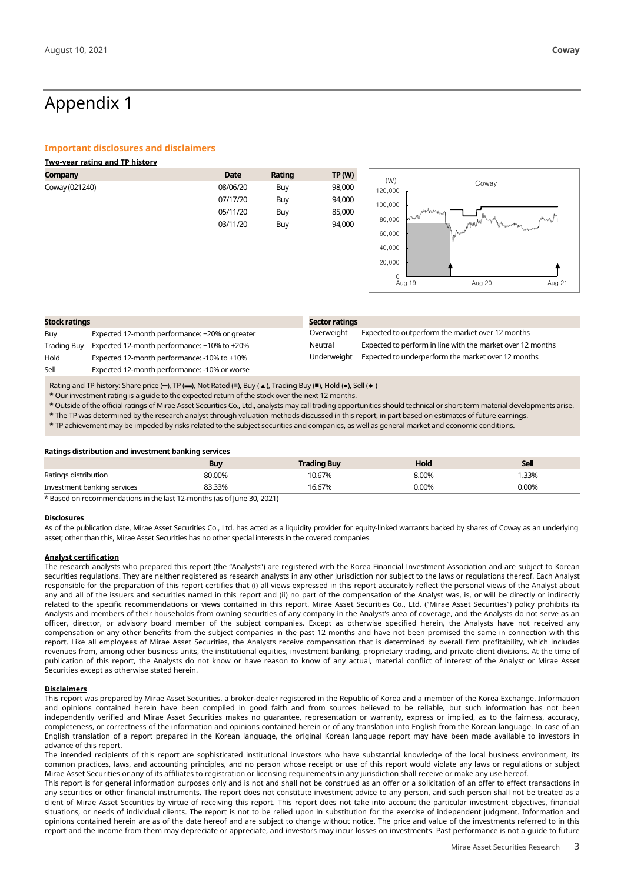# Appendix 1

### **Important disclosures and disclaimers**

| <b>Two-year rating and TP history</b> |             |        |               |                                             |
|---------------------------------------|-------------|--------|---------------|---------------------------------------------|
| <b>Company</b>                        | <b>Date</b> | Rating | <b>TP (W)</b> |                                             |
| Coway (021240)                        | 08/06/20    | Buy    | 98,000        | (W)<br>Coway<br>120,000                     |
|                                       | 07/17/20    | Buy    | 94,000        | 100,000                                     |
|                                       | 05/11/20    | Buy    | 85,000        | app <sup>o</sup> rant <sub>es</sub><br>brwV |
|                                       | 03/11/20    | Buy    | 94,000        | 80,000<br>when $\sim$<br>$M_{\rm W}$<br>www |
|                                       |             |        |               | <b>Nuckit</b><br>60,000                     |
|                                       |             |        |               | 40,000                                      |
|                                       |             |        |               | 20.000                                      |

0

Aug 19 Aug 20 Aug 21

| <b>Stock ratings</b> |                                                | Sector ratings |                                                            |  |  |
|----------------------|------------------------------------------------|----------------|------------------------------------------------------------|--|--|
| Buy                  | Expected 12-month performance: +20% or greater | Overweight     | Expected to outperform the market over 12 months           |  |  |
| <b>Trading Buy</b>   | Expected 12-month performance: +10% to +20%    | Neutral        | Expected to perform in line with the market over 12 months |  |  |
| Hold                 | Expected 12-month performance: -10% to +10%    | Underweight    | Expected to underperform the market over 12 months         |  |  |
| Sell                 | Expected 12-month performance: -10% or worse   |                |                                                            |  |  |

Rating and TP history: Share price (-), TP (-), Not Rated (■), Buy (▲), Trading Buy (■), Hold (●), Sell (◆)

\* Our investment rating is a guide to the expected return of the stock over the next 12 months.

\* Outside of the official ratings of Mirae Asset Securities Co., Ltd., analysts may call trading opportunities should technical or short-term material developments arise.

\* The TP was determined by the research analyst through valuation methods discussed in this report, in part based on estimates of future earnings.

\* TP achievement may be impeded by risks related to the subject securities and companies, as well as general market and economic conditions.

### **Ratings distribution and investment banking services**

|                             | <b>Buy</b> | Trading Buy | Hold  | Sell  |
|-----------------------------|------------|-------------|-------|-------|
| Ratings distribution        | 80.00%     | 10.67%      | 8.00% | .33%  |
| Investment banking services | 33.33%     | ،6.67%      | 0.00% | 0.00% |

\* Based on recommendations in the last 12-months (as of June 30, 2021)

### **Disclosures**

As of the publication date, Mirae Asset Securities Co., Ltd. has acted as a liquidity provider for equity-linked warrants backed by shares of Coway as an underlying asset; other than this, Mirae Asset Securities has no other special interests in the covered companies.

### **Analyst certification**

The research analysts who prepared this report (the "Analysts") are registered with the Korea Financial Investment Association and are subject to Korean securities regulations. They are neither registered as research analysts in any other jurisdiction nor subject to the laws or regulations thereof. Each Analyst responsible for the preparation of this report certifies that (i) all views expressed in this report accurately reflect the personal views of the Analyst about any and all of the issuers and securities named in this report and (ii) no part of the compensation of the Analyst was, is, or will be directly or indirectly related to the specific recommendations or views contained in this report. Mirae Asset Securities Co., Ltd. ("Mirae Asset Securities") policy prohibits its Analysts and members of their households from owning securities of any company in the Analyst's area of coverage, and the Analysts do not serve as an officer, director, or advisory board member of the subject companies. Except as otherwise specified herein, the Analysts have not received any compensation or any other benefits from the subject companies in the past 12 months and have not been promised the same in connection with this report. Like all employees of Mirae Asset Securities, the Analysts receive compensation that is determined by overall firm profitability, which includes revenues from, among other business units, the institutional equities, investment banking, proprietary trading, and private client divisions. At the time of publication of this report, the Analysts do not know or have reason to know of any actual, material conflict of interest of the Analyst or Mirae Asset Securities except as otherwise stated herein.

### **Disclaimers**

This report was prepared by Mirae Asset Securities, a broker-dealer registered in the Republic of Korea and a member of the Korea Exchange. Information and opinions contained herein have been compiled in good faith and from sources believed to be reliable, but such information has not been independently verified and Mirae Asset Securities makes no guarantee, representation or warranty, express or implied, as to the fairness, accuracy, completeness, or correctness of the information and opinions contained herein or of any translation into English from the Korean language. In case of an English translation of a report prepared in the Korean language, the original Korean language report may have been made available to investors in advance of this report.

The intended recipients of this report are sophisticated institutional investors who have substantial knowledge of the local business environment, its common practices, laws, and accounting principles, and no person whose receipt or use of this report would violate any laws or regulations or subject Mirae Asset Securities or any of its affiliates to registration or licensing requirements in any jurisdiction shall receive or make any use hereof.

This report is for general information purposes only and is not and shall not be construed as an offer or a solicitation of an offer to effect transactions in any securities or other financial instruments. The report does not constitute investment advice to any person, and such person shall not be treated as a client of Mirae Asset Securities by virtue of receiving this report. This report does not take into account the particular investment objectives, financial situations, or needs of individual clients. The report is not to be relied upon in substitution for the exercise of independent judgment. Information and opinions contained herein are as of the date hereof and are subject to change without notice. The price and value of the investments referred to in this report and the income from them may depreciate or appreciate, and investors may incur losses on investments. Past performance is not a guide to future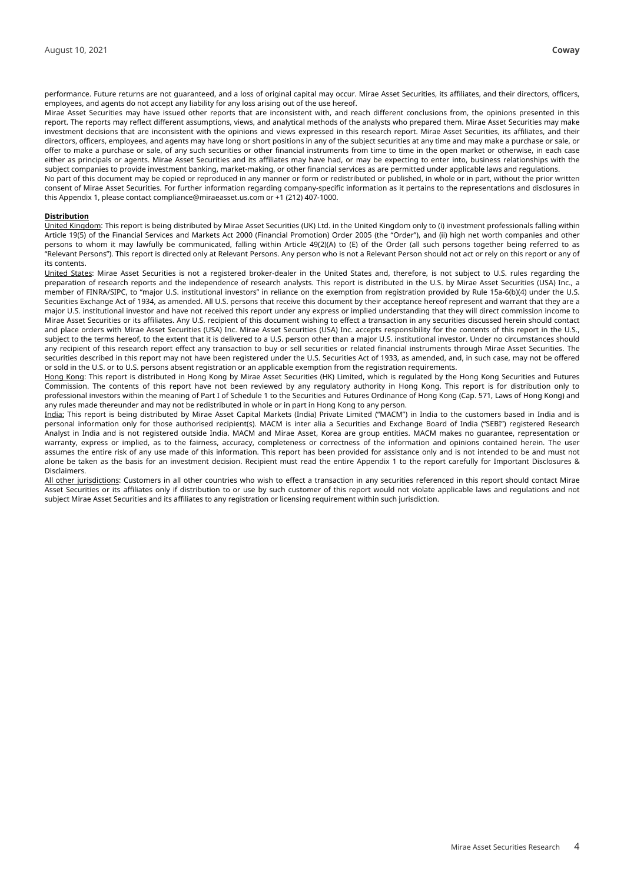performance. Future returns are not guaranteed, and a loss of original capital may occur. Mirae Asset Securities, its affiliates, and their directors, officers, employees, and agents do not accept any liability for any loss arising out of the use hereof.

Mirae Asset Securities may have issued other reports that are inconsistent with, and reach different conclusions from, the opinions presented in this report. The reports may reflect different assumptions, views, and analytical methods of the analysts who prepared them. Mirae Asset Securities may make investment decisions that are inconsistent with the opinions and views expressed in this research report. Mirae Asset Securities, its affiliates, and their directors, officers, employees, and agents may have long or short positions in any of the subject securities at any time and may make a purchase or sale, or offer to make a purchase or sale, of any such securities or other financial instruments from time to time in the open market or otherwise, in each case either as principals or agents. Mirae Asset Securities and its affiliates may have had, or may be expecting to enter into, business relationships with the subject companies to provide investment banking, market-making, or other financial services as are permitted under applicable laws and regulations.

No part of this document may be copied or reproduced in any manner or form or redistributed or published, in whole or in part, without the prior written consent of Mirae Asset Securities. For further information regarding company-specific information as it pertains to the representations and disclosures in this Appendix 1, please contact compliance@miraeasset.us.com or +1 (212) 407-1000.

### **Distribution**

United Kingdom: This report is being distributed by Mirae Asset Securities (UK) Ltd. in the United Kingdom only to (i) investment professionals falling within Article 19(5) of the Financial Services and Markets Act 2000 (Financial Promotion) Order 2005 (the "Order"), and (ii) high net worth companies and other persons to whom it may lawfully be communicated, falling within Article 49(2)(A) to (E) of the Order (all such persons together being referred to as "Relevant Persons"). This report is directed only at Relevant Persons. Any person who is not a Relevant Person should not act or rely on this report or any of its contents.

United States: Mirae Asset Securities is not a registered broker-dealer in the United States and, therefore, is not subject to U.S. rules regarding the preparation of research reports and the independence of research analysts. This report is distributed in the U.S. by Mirae Asset Securities (USA) Inc., a member of FINRA/SIPC, to "major U.S. institutional investors" in reliance on the exemption from registration provided by Rule 15a-6(b)(4) under the U.S. Securities Exchange Act of 1934, as amended. All U.S. persons that receive this document by their acceptance hereof represent and warrant that they are a major U.S. institutional investor and have not received this report under any express or implied understanding that they will direct commission income to Mirae Asset Securities or its affiliates. Any U.S. recipient of this document wishing to effect a transaction in any securities discussed herein should contact and place orders with Mirae Asset Securities (USA) Inc. Mirae Asset Securities (USA) Inc. accepts responsibility for the contents of this report in the U.S., subject to the terms hereof, to the extent that it is delivered to a U.S. person other than a major U.S. institutional investor. Under no circumstances should any recipient of this research report effect any transaction to buy or sell securities or related financial instruments through Mirae Asset Securities. The securities described in this report may not have been registered under the U.S. Securities Act of 1933, as amended, and, in such case, may not be offered or sold in the U.S. or to U.S. persons absent registration or an applicable exemption from the registration requirements.

Hong Kong: This report is distributed in Hong Kong by Mirae Asset Securities (HK) Limited, which is regulated by the Hong Kong Securities and Futures Commission. The contents of this report have not been reviewed by any regulatory authority in Hong Kong. This report is for distribution only to professional investors within the meaning of Part I of Schedule 1 to the Securities and Futures Ordinance of Hong Kong (Cap. 571, Laws of Hong Kong) and any rules made thereunder and may not be redistributed in whole or in part in Hong Kong to any person.

India: This report is being distributed by Mirae Asset Capital Markets (India) Private Limited ("MACM") in India to the customers based in India and is personal information only for those authorised recipient(s). MACM is inter alia a Securities and Exchange Board of India ("SEBI") registered Research Analyst in India and is not registered outside India. MACM and Mirae Asset, Korea are group entities. MACM makes no guarantee, representation or warranty, express or implied, as to the fairness, accuracy, completeness or correctness of the information and opinions contained herein. The user assumes the entire risk of any use made of this information. This report has been provided for assistance only and is not intended to be and must not alone be taken as the basis for an investment decision. Recipient must read the entire Appendix 1 to the report carefully for Important Disclosures & Disclaimers.

All other jurisdictions: Customers in all other countries who wish to effect a transaction in any securities referenced in this report should contact Mirae Asset Securities or its affiliates only if distribution to or use by such customer of this report would not violate applicable laws and regulations and not subject Mirae Asset Securities and its affiliates to any registration or licensing requirement within such jurisdiction.